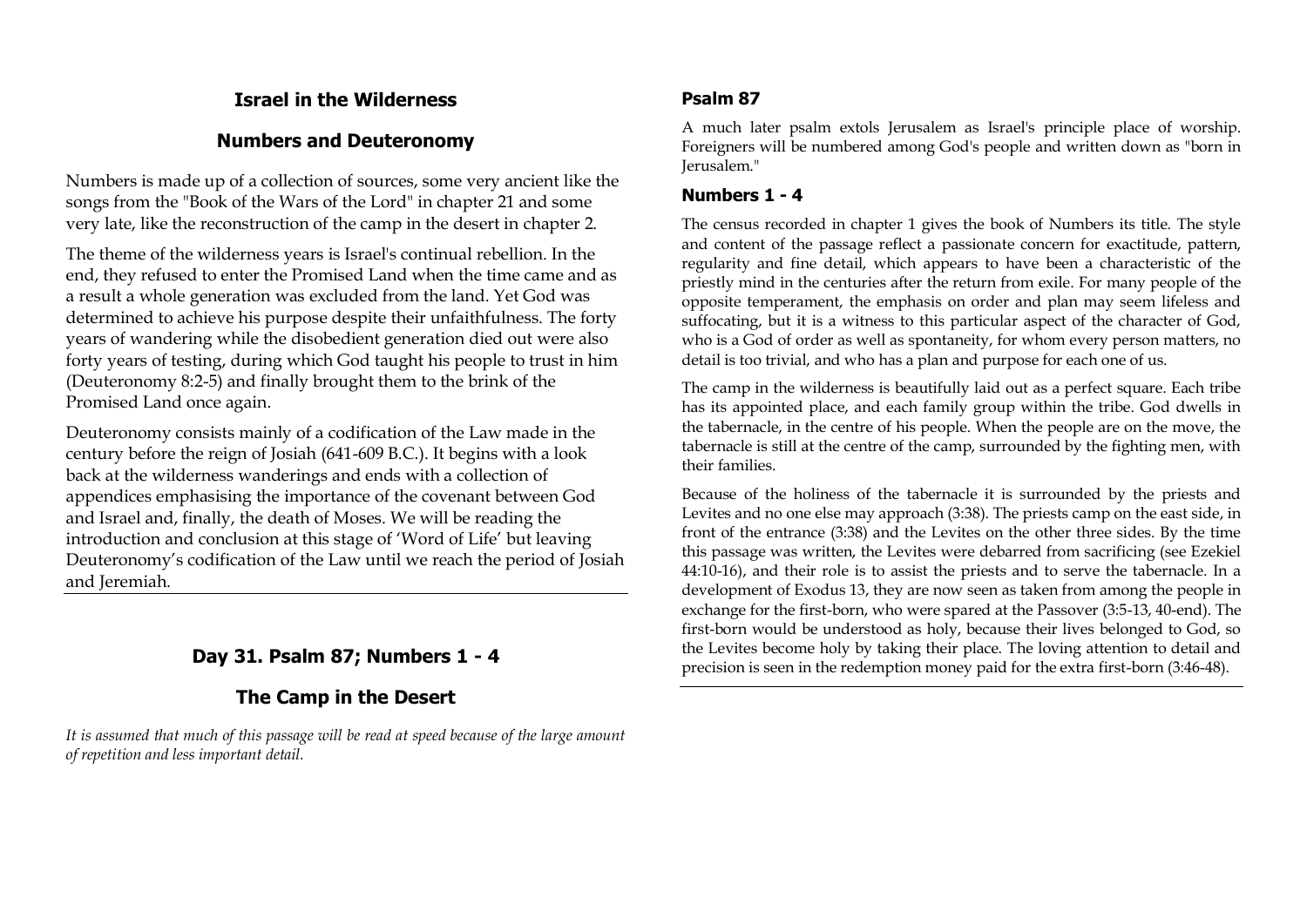# **Israel in the Wilderness**

# **Numbers and Deuteronomy**

Numbers is made up of a collection of sources, some very ancient like the songs from the "Book of the Wars of the Lord" in chapter 21 and some very late, like the reconstruction of the camp in the desert in chapter 2.

The theme of the wilderness years is Israel's continual rebellion. In the end, they refused to enter the Promised Land when the time came and as a result a whole generation was excluded from the land. Yet God was determined to achieve his purpose despite their unfaithfulness. The forty years of wandering while the disobedient generation died out were also forty years of testing, during which God taught his people to trust in him (Deuteronomy 8:2-5) and finally brought them to the brink of the Promised Land once again.

Deuteronomy consists mainly of a codification of the Law made in the century before the reign of Josiah (641-609 B.C.). It begins with a look back at the wilderness wanderings and ends with a collection of appendices emphasising the importance of the covenant between God and Israel and, finally, the death of Moses. We will be reading the introduction and conclusion at this stage of 'Word of Life' but leaving Deuteronomy's codification of the Law until we reach the period of Josiah and Jeremiah.

# **Day 31. Psalm 87; Numbers 1 - 4**

# **The Camp in the Desert**

*It is assumed that much of this passage will be read at speed because of the large amount of repetition and less important detail.*

# **Psalm 87**

A much later psalm extols Jerusalem as Israel's principle place of worship. Foreigners will be numbered among God's people and written down as "born in Jerusalem."

### **Numbers 1 - 4**

The census recorded in chapter 1 gives the book of Numbers its title. The style and content of the passage reflect a passionate concern for exactitude, pattern, regularity and fine detail, which appears to have been a characteristic of the priestly mind in the centuries after the return from exile. For many people of the opposite temperament, the emphasis on order and plan may seem lifeless and suffocating, but it is a witness to this particular aspect of the character of God, who is a God of order as well as spontaneity, for whom every person matters, no detail is too trivial, and who has a plan and purpose for each one of us.

The camp in the wilderness is beautifully laid out as a perfect square. Each tribe has its appointed place, and each family group within the tribe. God dwells in the tabernacle, in the centre of his people. When the people are on the move, the tabernacle is still at the centre of the camp, surrounded by the fighting men, with their families.

Because of the holiness of the tabernacle it is surrounded by the priests and Levites and no one else may approach (3:38). The priests camp on the east side, in front of the entrance (3:38) and the Levites on the other three sides. By the time this passage was written, the Levites were debarred from sacrificing (see Ezekiel 44:10-16), and their role is to assist the priests and to serve the tabernacle. In a development of Exodus 13, they are now seen as taken from among the people in exchange for the first-born, who were spared at the Passover (3:5-13, 40-end). The first-born would be understood as holy, because their lives belonged to God, so the Levites become holy by taking their place. The loving attention to detail and precision is seen in the redemption money paid for the extra first-born (3:46-48).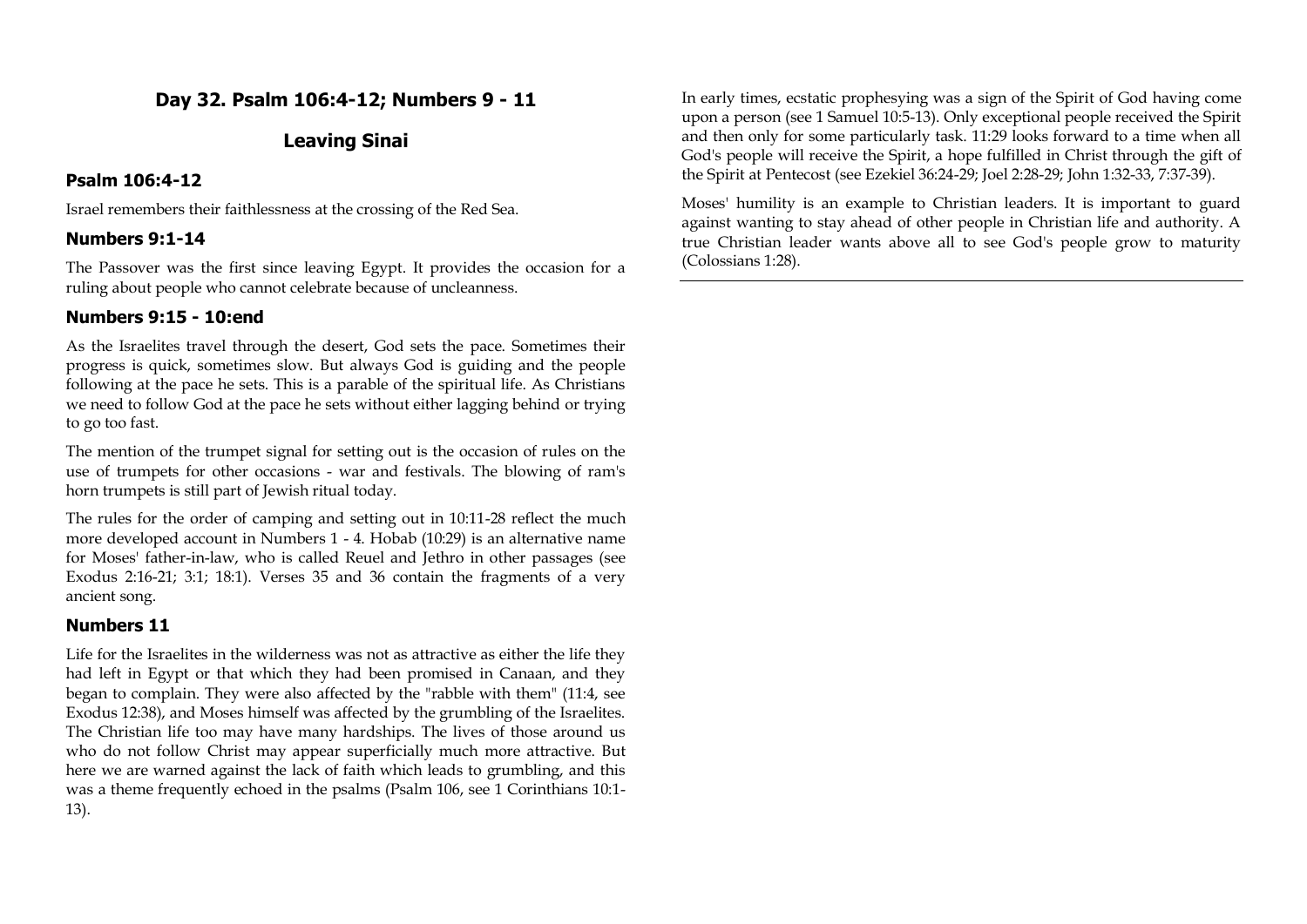# **Day 32. Psalm 106:4-12; Numbers 9 - 11**

## **Leaving Sinai**

### **Psalm 106:4-12**

Israel remembers their faithlessness at the crossing of the Red Sea.

### **Numbers 9:1-14**

The Passover was the first since leaving Egypt. It provides the occasion for a ruling about people who cannot celebrate because of uncleanness.

### **Numbers 9:15 - 10:end**

As the Israelites travel through the desert, God sets the pace. Sometimes their progress is quick, sometimes slow. But always God is guiding and the people following at the pace he sets. This is a parable of the spiritual life. As Christians we need to follow God at the pace he sets without either lagging behind or trying to go too fast.

The mention of the trumpet signal for setting out is the occasion of rules on the use of trumpets for other occasions - war and festivals. The blowing of ram's horn trumpets is still part of Jewish ritual today.

The rules for the order of camping and setting out in 10:11-28 reflect the much more developed account in Numbers 1 - 4. Hobab (10:29) is an alternative name for Moses' father-in-law, who is called Reuel and Jethro in other passages (see Exodus 2:16-21; 3:1; 18:1). Verses 35 and 36 contain the fragments of a very ancient song.

# **Numbers 11**

Life for the Israelites in the wilderness was not as attractive as either the life they had left in Egypt or that which they had been promised in Canaan, and they began to complain. They were also affected by the "rabble with them" (11:4, see Exodus 12:38), and Moses himself was affected by the grumbling of the Israelites. The Christian life too may have many hardships. The lives of those around us who do not follow Christ may appear superficially much more attractive. But here we are warned against the lack of faith which leads to grumbling, and this was a theme frequently echoed in the psalms (Psalm 106, see 1 Corinthians 10:1- 13).

In early times, ecstatic prophesying was a sign of the Spirit of God having come upon a person (see 1 Samuel 10:5-13). Only exceptional people received the Spirit and then only for some particularly task. 11:29 looks forward to a time when all God's people will receive the Spirit, a hope fulfilled in Christ through the gift of the Spirit at Pentecost (see Ezekiel 36:24-29; Joel 2:28-29; John 1:32-33, 7:37-39).

Moses' humility is an example to Christian leaders. It is important to guard against wanting to stay ahead of other people in Christian life and authority. A true Christian leader wants above all to see God's people grow to maturity (Colossians 1:28).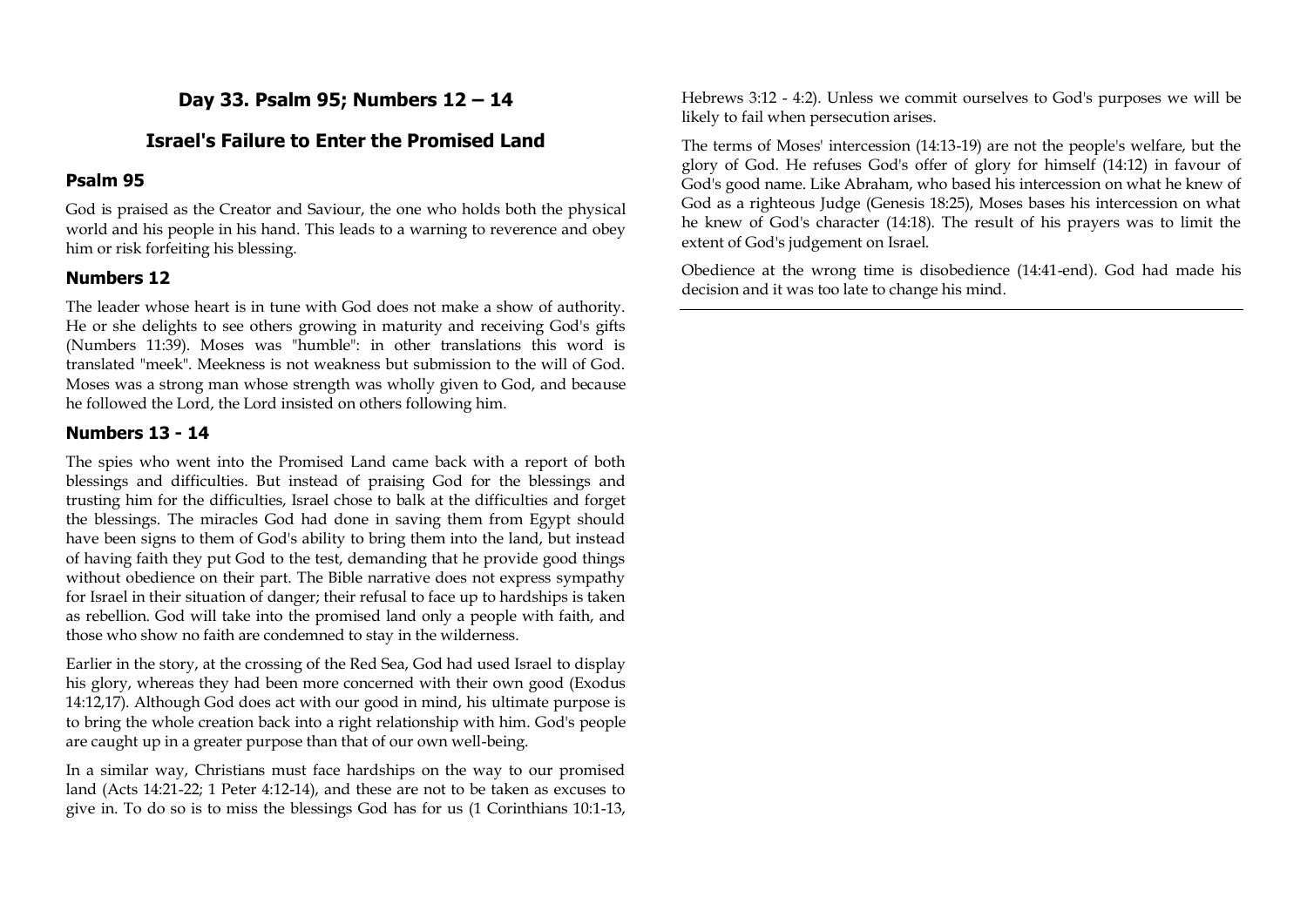**Day 33. Psalm 95; Numbers 12 – 14**

#### **Israel's Failure to Enter the Promised Land**

#### **Psalm 95**

God is praised as the Creator and Saviour, the one who holds both the physical world and his people in his hand. This leads to a warning to reverence and obey him or risk forfeiting his blessing.

#### **Numbers 12**

The leader whose heart is in tune with God does not make a show of authority. He or she delights to see others growing in maturity and receiving God's gifts (Numbers 11:39). Moses was "humble": in other translations this word is translated "meek". Meekness is not weakness but submission to the will of God. Moses was a strong man whose strength was wholly given to God, and because he followed the Lord, the Lord insisted on others following him.

#### **Numbers 13 - 14**

The spies who went into the Promised Land came back with a report of both blessings and difficulties. But instead of praising God for the blessings and trusting him for the difficulties, Israel chose to balk at the difficulties and forget the blessings. The miracles God had done in saving them from Egypt should have been signs to them of God's ability to bring them into the land, but instead of having faith they put God to the test, demanding that he provide good things without obedience on their part. The Bible narrative does not express sympathy for Israel in their situation of danger; their refusal to face up to hardships is taken as rebellion. God will take into the promised land only a people with faith, and those who show no faith are condemned to stay in the wilderness.

Earlier in the story, at the crossing of the Red Sea, God had used Israel to display his glory, whereas they had been more concerned with their own good (Exodus 14:12,17). Although God does act with our good in mind, his ultimate purpose is to bring the whole creation back into a right relationship with him. God's people are caught up in a greater purpose than that of our own well-being.

In a similar way, Christians must face hardships on the way to our promised land (Acts 14:21-22; 1 Peter 4:12-14), and these are not to be taken as excuses to give in. To do so is to miss the blessings God has for us (1 Corinthians 10:1-13, Hebrews 3:12 - 4:2). Unless we commit ourselves to God's purposes we will be likely to fail when persecution arises.

The terms of Moses' intercession (14:13-19) are not the people's welfare, but the glory of God. He refuses God's offer of glory for himself (14:12) in favour of God's good name. Like Abraham, who based his intercession on what he knew of God as a righteous Judge (Genesis 18:25), Moses bases his intercession on what he knew of God's character (14:18). The result of his prayers was to limit the extent of God's judgement on Israel.

Obedience at the wrong time is disobedience (14:41-end). God had made his decision and it was too late to change his mind.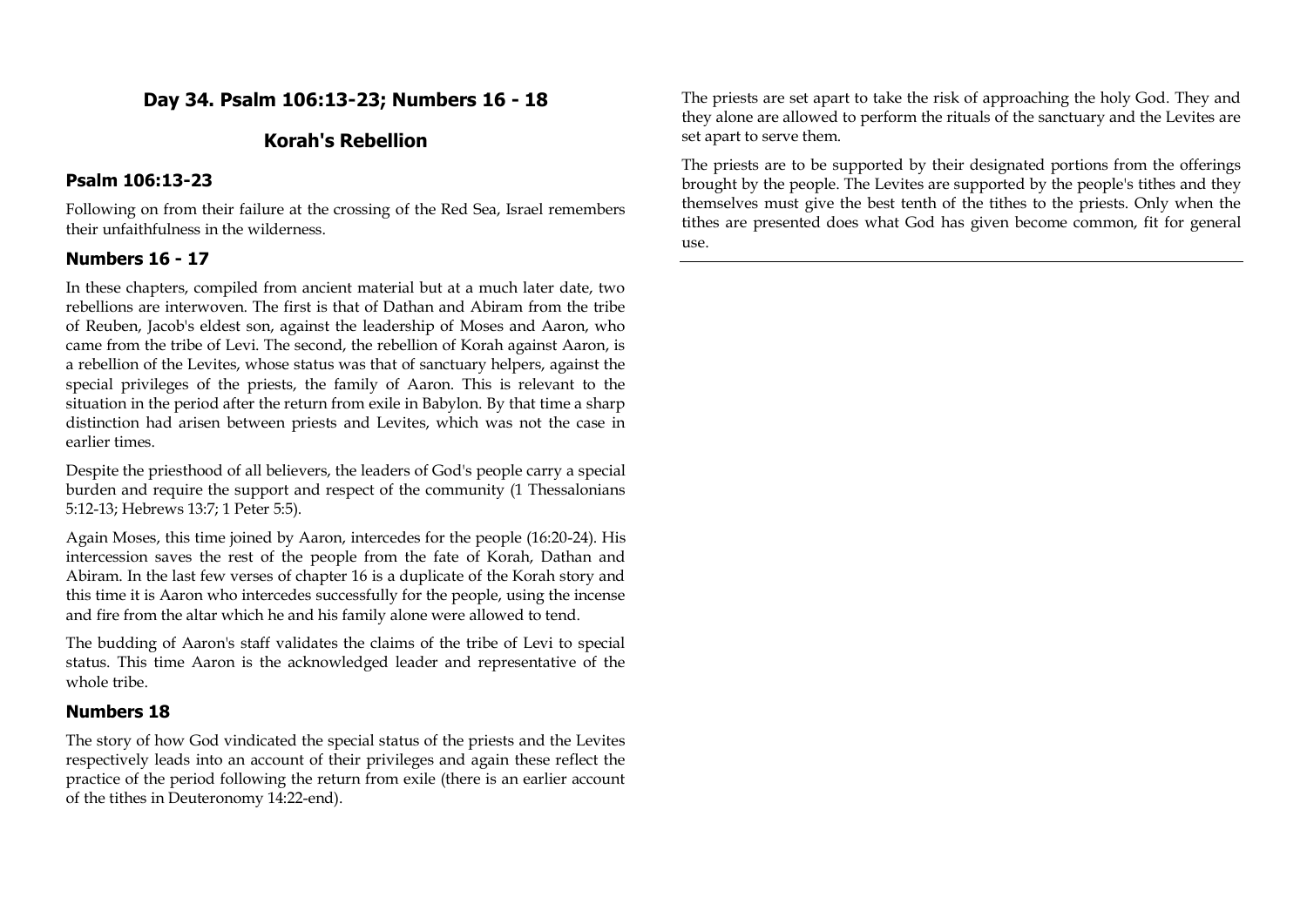# **Day 34. Psalm 106:13-23; Numbers 16 - 18**

# **Korah's Rebellion**

#### **Psalm 106:13-23**

Following on from their failure at the crossing of the Red Sea, Israel remembers their unfaithfulness in the wilderness.

#### **Numbers 16 - 17**

In these chapters, compiled from ancient material but at a much later date, two rebellions are interwoven. The first is that of Dathan and Abiram from the tribe of Reuben, Jacob's eldest son, against the leadership of Moses and Aaron, who came from the tribe of Levi. The second, the rebellion of Korah against Aaron, is a rebellion of the Levites, whose status was that of sanctuary helpers, against the special privileges of the priests, the family of Aaron. This is relevant to the situation in the period after the return from exile in Babylon. By that time a sharp distinction had arisen between priests and Levites, which was not the case in earlier times.

Despite the priesthood of all believers, the leaders of God's people carry a special burden and require the support and respect of the community (1 Thessalonians 5:12-13; Hebrews 13:7; 1 Peter 5:5).

Again Moses, this time joined by Aaron, intercedes for the people (16:20-24). His intercession saves the rest of the people from the fate of Korah, Dathan and Abiram. In the last few verses of chapter 16 is a duplicate of the Korah story and this time it is Aaron who intercedes successfully for the people, using the incense and fire from the altar which he and his family alone were allowed to tend.

The budding of Aaron's staff validates the claims of the tribe of Levi to special status. This time Aaron is the acknowledged leader and representative of the whole tribe

#### **Numbers 18**

The story of how God vindicated the special status of the priests and the Levites respectively leads into an account of their privileges and again these reflect the practice of the period following the return from exile (there is an earlier account of the tithes in Deuteronomy 14:22-end).

The priests are set apart to take the risk of approaching the holy God. They and they alone are allowed to perform the rituals of the sanctuary and the Levites are set apart to serve them.

The priests are to be supported by their designated portions from the offerings brought by the people. The Levites are supported by the people's tithes and they themselves must give the best tenth of the tithes to the priests. Only when the tithes are presented does what God has given become common, fit for general use.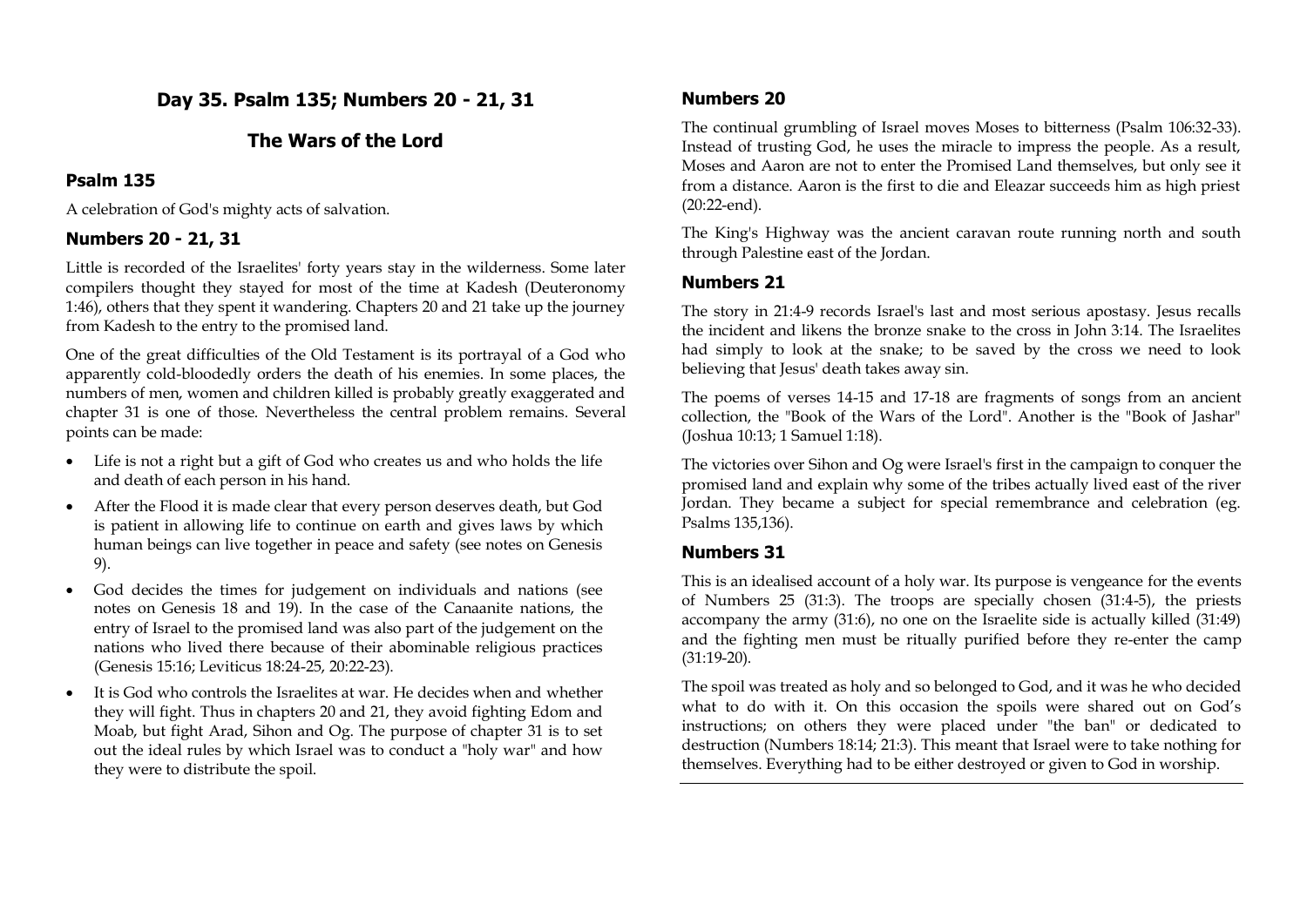**Day 35. Psalm 135; Numbers 20 - 21, 31**

# **The Wars of the Lord**

### **Psalm 135**

A celebration of God's mighty acts of salvation.

## **Numbers 20 - 21, 31**

Little is recorded of the Israelites' forty years stay in the wilderness. Some later compilers thought they stayed for most of the time at Kadesh (Deuteronomy 1:46), others that they spent it wandering. Chapters 20 and 21 take up the journey from Kadesh to the entry to the promised land.

One of the great difficulties of the Old Testament is its portrayal of a God who apparently cold-bloodedly orders the death of his enemies. In some places, the numbers of men, women and children killed is probably greatly exaggerated and chapter 31 is one of those. Nevertheless the central problem remains. Several points can be made:

- Life is not a right but a gift of God who creates us and who holds the life and death of each person in his hand.
- After the Flood it is made clear that every person deserves death, but God is patient in allowing life to continue on earth and gives laws by which human beings can live together in peace and safety (see notes on Genesis 9).
- God decides the times for judgement on individuals and nations (see notes on Genesis 18 and 19). In the case of the Canaanite nations, the entry of Israel to the promised land was also part of the judgement on the nations who lived there because of their abominable religious practices (Genesis 15:16; Leviticus 18:24-25, 20:22-23).
- It is God who controls the Israelites at war. He decides when and whether they will fight. Thus in chapters 20 and 21, they avoid fighting Edom and Moab, but fight Arad, Sihon and Og. The purpose of chapter 31 is to set out the ideal rules by which Israel was to conduct a "holy war" and how they were to distribute the spoil.

## **Numbers 20**

The continual grumbling of Israel moves Moses to bitterness (Psalm 106:32-33). Instead of trusting God, he uses the miracle to impress the people. As a result, Moses and Aaron are not to enter the Promised Land themselves, but only see it from a distance. Aaron is the first to die and Eleazar succeeds him as high priest (20:22-end).

The King's Highway was the ancient caravan route running north and south through Palestine east of the Jordan.

## **Numbers 21**

The story in 21:4-9 records Israel's last and most serious apostasy. Jesus recalls the incident and likens the bronze snake to the cross in John 3:14. The Israelites had simply to look at the snake; to be saved by the cross we need to look believing that Jesus' death takes away sin.

The poems of verses 14-15 and 17-18 are fragments of songs from an ancient collection, the "Book of the Wars of the Lord". Another is the "Book of Jashar" (Joshua 10:13; 1 Samuel 1:18).

The victories over Sihon and Og were Israel's first in the campaign to conquer the promised land and explain why some of the tribes actually lived east of the river Jordan. They became a subject for special remembrance and celebration (eg. Psalms 135,136).

### **Numbers 31**

This is an idealised account of a holy war. Its purpose is vengeance for the events of Numbers 25 (31:3). The troops are specially chosen (31:4-5), the priests accompany the army (31:6), no one on the Israelite side is actually killed (31:49) and the fighting men must be ritually purified before they re-enter the camp (31:19-20).

The spoil was treated as holy and so belonged to God, and it was he who decided what to do with it. On this occasion the spoils were shared out on God's instructions; on others they were placed under "the ban" or dedicated to destruction (Numbers 18:14; 21:3). This meant that Israel were to take nothing for themselves. Everything had to be either destroyed or given to God in worship.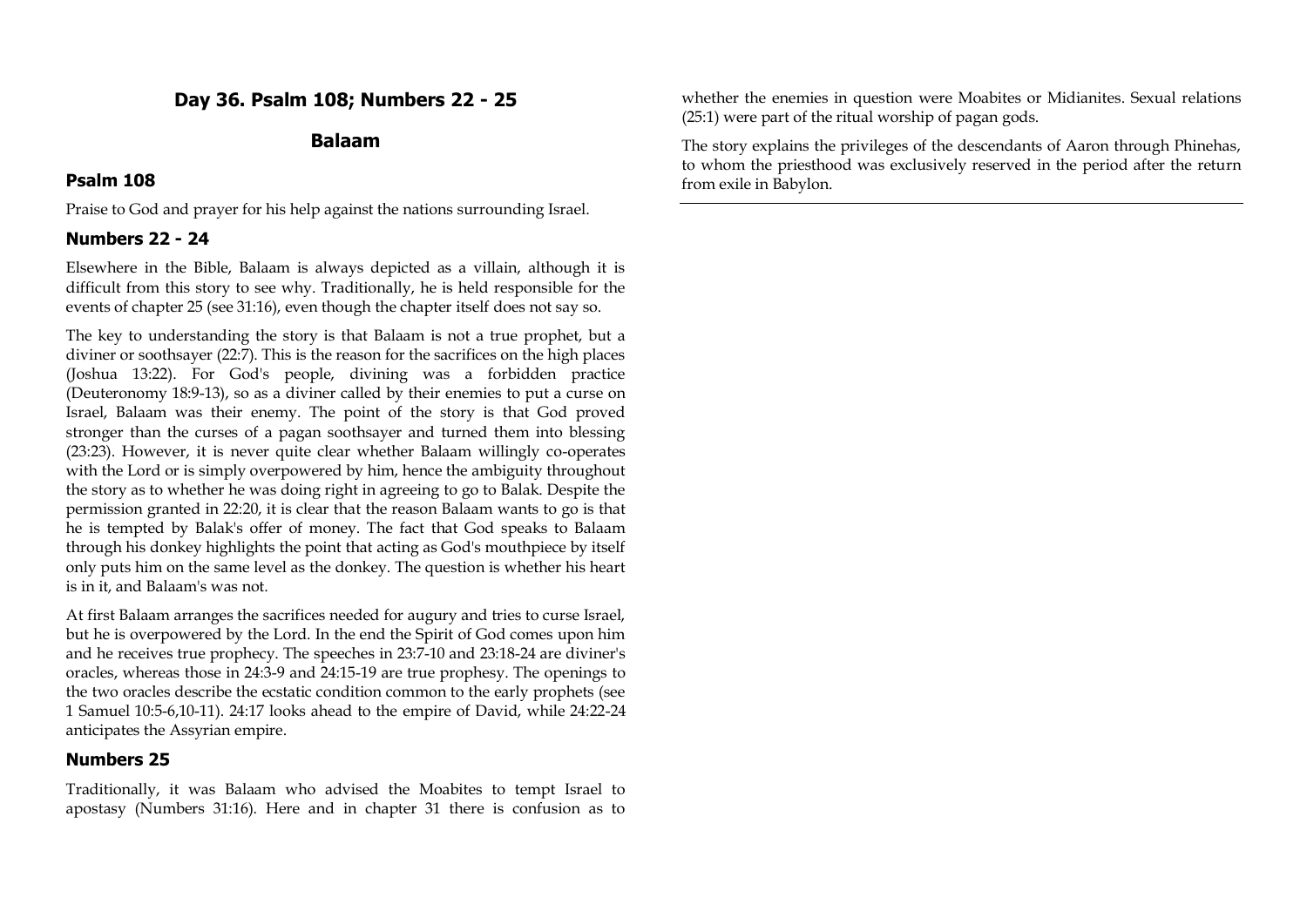# **Day 36. Psalm 108; Numbers 22 - 25**

### **Balaam**

## **Psalm 108**

Praise to God and prayer for his help against the nations surrounding Israel.

# **Numbers 22 - 24**

Elsewhere in the Bible, Balaam is always depicted as a villain, although it is difficult from this story to see why. Traditionally, he is held responsible for the events of chapter 25 (see 31:16), even though the chapter itself does not say so.

The key to understanding the story is that Balaam is not a true prophet, but a diviner or soothsayer (22:7). This is the reason for the sacrifices on the high places (Joshua 13:22). For God's people, divining was a forbidden practice (Deuteronomy 18:9-13), so as a diviner called by their enemies to put a curse on Israel, Balaam was their enemy. The point of the story is that God proved stronger than the curses of a pagan soothsayer and turned them into blessing (23:23). However, it is never quite clear whether Balaam willingly co-operates with the Lord or is simply overpowered by him, hence the ambiguity throughout the story as to whether he was doing right in agreeing to go to Balak. Despite the permission granted in 22:20, it is clear that the reason Balaam wants to go is that he is tempted by Balak's offer of money. The fact that God speaks to Balaam through his donkey highlights the point that acting as God's mouthpiece by itself only puts him on the same level as the donkey. The question is whether his heart is in it, and Balaam's was not.

At first Balaam arranges the sacrifices needed for augury and tries to curse Israel, but he is overpowered by the Lord. In the end the Spirit of God comes upon him and he receives true prophecy. The speeches in 23:7-10 and 23:18-24 are diviner's oracles, whereas those in 24:3-9 and 24:15-19 are true prophesy. The openings to the two oracles describe the ecstatic condition common to the early prophets (see 1 Samuel 10:5-6,10-11). 24:17 looks ahead to the empire of David, while 24:22-24 anticipates the Assyrian empire.

### **Numbers 25**

Traditionally, it was Balaam who advised the Moabites to tempt Israel to apostasy (Numbers 31:16). Here and in chapter 31 there is confusion as to whether the enemies in question were Moabites or Midianites. Sexual relations (25:1) were part of the ritual worship of pagan gods.

The story explains the privileges of the descendants of Aaron through Phinehas, to whom the priesthood was exclusively reserved in the period after the return from exile in Babylon.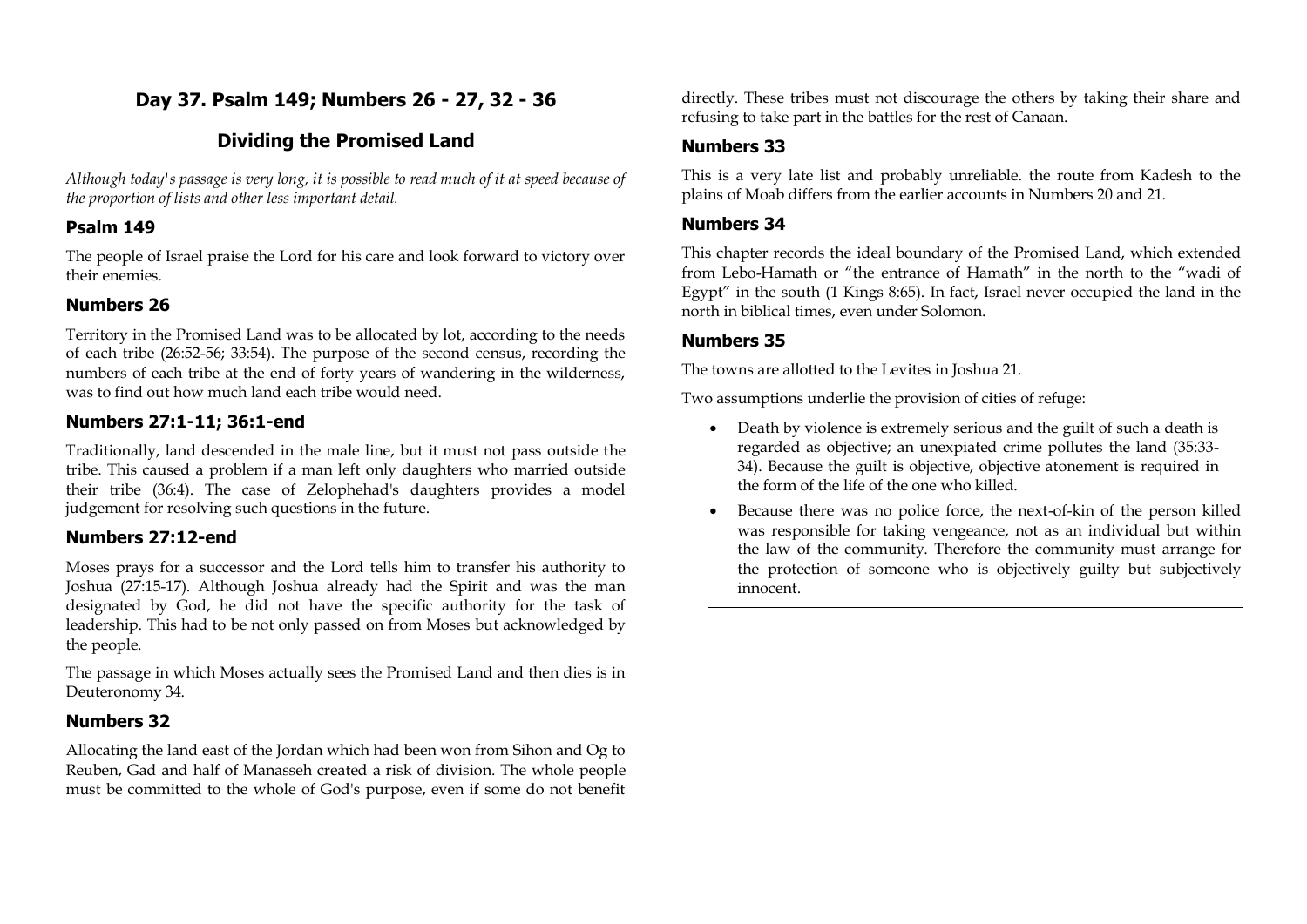# **Day 37. Psalm 149; Numbers 26 - 27, 32 - 36**

# **Dividing the Promised Land**

*Although today's passage is very long, it is possible to read much of it at speed because of the proportion of lists and other less important detail.*

# **Psalm 149**

The people of Israel praise the Lord for his care and look forward to victory over their enemies.

# **Numbers 26**

Territory in the Promised Land was to be allocated by lot, according to the needs of each tribe (26:52-56; 33:54). The purpose of the second census, recording the numbers of each tribe at the end of forty years of wandering in the wilderness, was to find out how much land each tribe would need.

# **Numbers 27:1-11; 36:1-end**

Traditionally, land descended in the male line, but it must not pass outside the tribe. This caused a problem if a man left only daughters who married outside their tribe (36:4). The case of Zelophehad's daughters provides a model judgement for resolving such questions in the future.

## **Numbers 27:12-end**

Moses prays for a successor and the Lord tells him to transfer his authority to Joshua (27:15-17). Although Joshua already had the Spirit and was the man designated by God, he did not have the specific authority for the task of leadership. This had to be not only passed on from Moses but acknowledged by the people.

The passage in which Moses actually sees the Promised Land and then dies is in Deuteronomy 34.

## **Numbers 32**

Allocating the land east of the Jordan which had been won from Sihon and Og to Reuben, Gad and half of Manasseh created a risk of division. The whole people must be committed to the whole of God's purpose, even if some do not benefit directly. These tribes must not discourage the others by taking their share and refusing to take part in the battles for the rest of Canaan.

# **Numbers 33**

This is a very late list and probably unreliable. the route from Kadesh to the plains of Moab differs from the earlier accounts in Numbers 20 and 21.

### **Numbers 34**

This chapter records the ideal boundary of the Promised Land, which extended from Lebo-Hamath or "the entrance of Hamath" in the north to the "wadi of Egypt" in the south (1 Kings 8:65). In fact, Israel never occupied the land in the north in biblical times, even under Solomon.

## **Numbers 35**

The towns are allotted to the Levites in Joshua 21.

Two assumptions underlie the provision of cities of refuge:

- Death by violence is extremely serious and the guilt of such a death is regarded as objective; an unexpiated crime pollutes the land (35:33- 34). Because the guilt is objective, objective atonement is required in the form of the life of the one who killed.
- Because there was no police force, the next-of-kin of the person killed was responsible for taking vengeance, not as an individual but within the law of the community. Therefore the community must arrange for the protection of someone who is objectively guilty but subjectively innocent.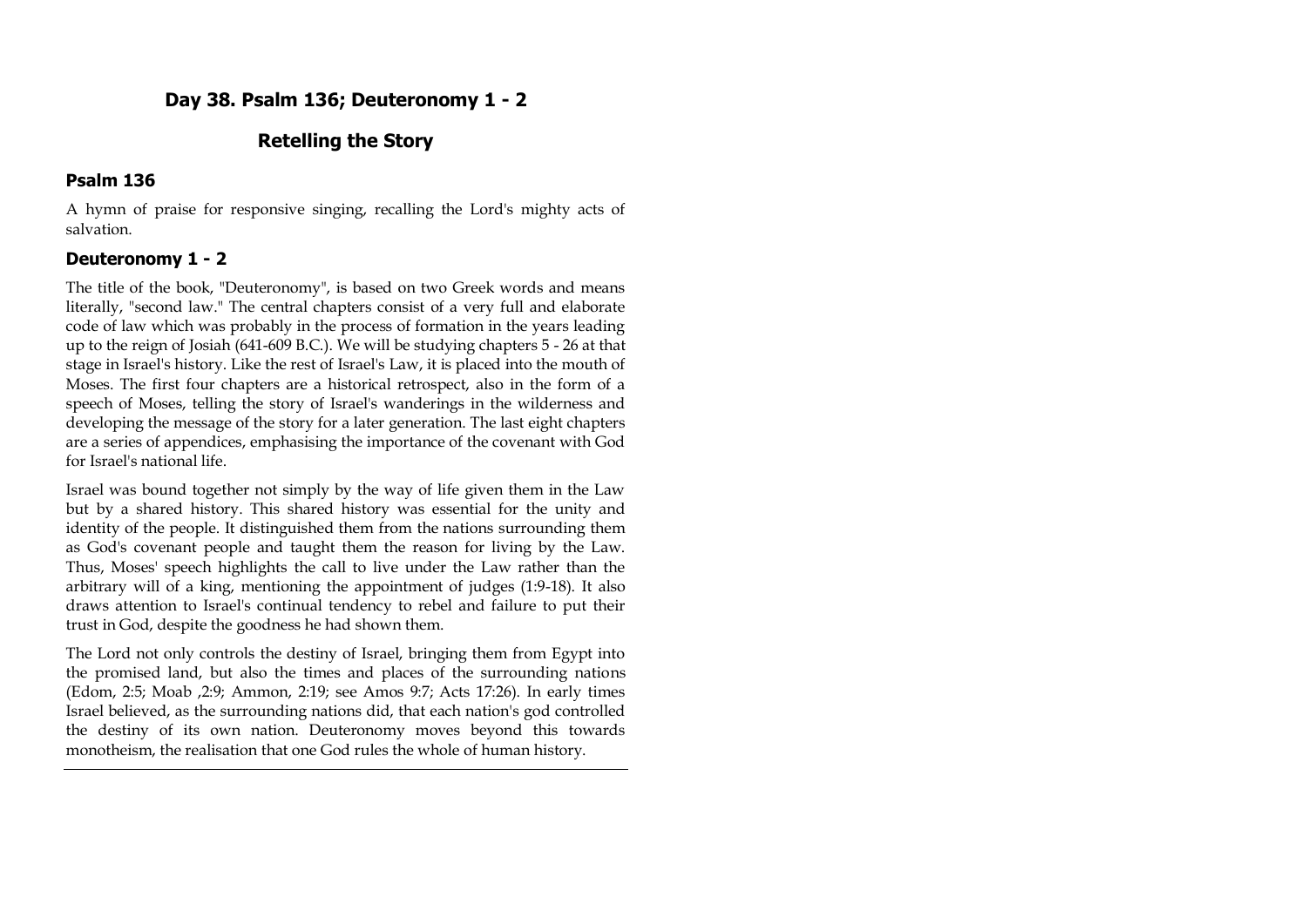# **Day 38. Psalm 136; Deuteronomy 1 - 2**

# **Retelling the Story**

### **Psalm 136**

A hymn of praise for responsive singing, recalling the Lord's mighty acts of salvation.

## **Deuteronomy 1 - 2**

The title of the book, "Deuteronomy", is based on two Greek words and means literally, "second law." The central chapters consist of a very full and elaborate code of law which was probably in the process of formation in the years leading up to the reign of Josiah (641-609 B.C.). We will be studying chapters 5 - 26 at that stage in Israel's history. Like the rest of Israel's Law, it is placed into the mouth of Moses. The first four chapters are a historical retrospect, also in the form of a speech of Moses, telling the story of Israel's wanderings in the wilderness and developing the message of the story for a later generation. The last eight chapters are a series of appendices, emphasising the importance of the covenant with God for Israel's national life.

Israel was bound together not simply by the way of life given them in the Law but by a shared history. This shared history was essential for the unity and identity of the people. It distinguished them from the nations surrounding them as God's covenant people and taught them the reason for living by the Law. Thus, Moses' speech highlights the call to live under the Law rather than the arbitrary will of a king, mentioning the appointment of judges (1:9-18). It also draws attention to Israel's continual tendency to rebel and failure to put their trust in God, despite the goodness he had shown them.

The Lord not only controls the destiny of Israel, bringing them from Egypt into the promised land, but also the times and places of the surrounding nations (Edom, 2:5; Moab ,2:9; Ammon, 2:19; see Amos 9:7; Acts 17:26). In early times Israel believed, as the surrounding nations did, that each nation's god controlled the destiny of its own nation. Deuteronomy moves beyond this towards monotheism, the realisation that one God rules the whole of human history.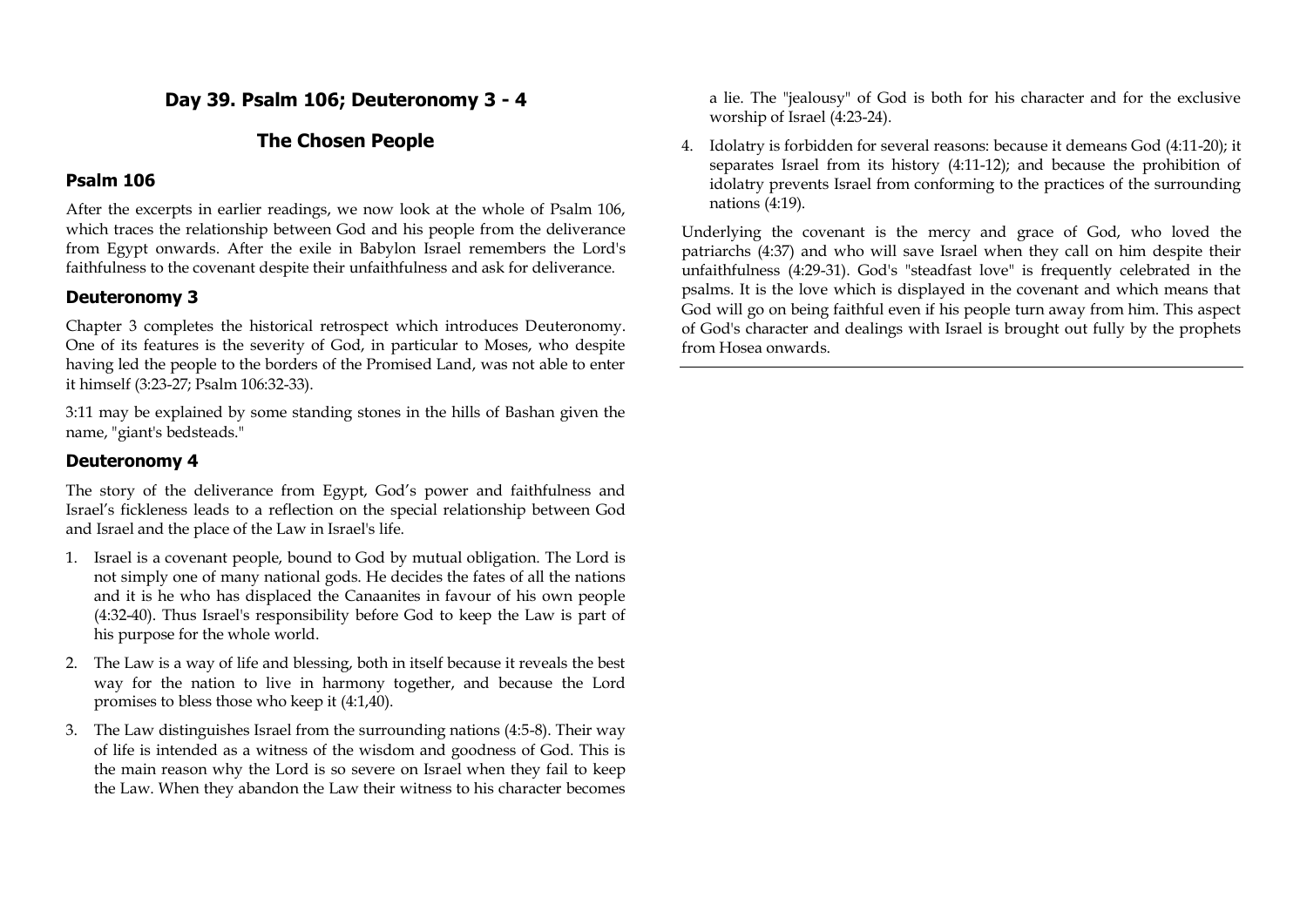# **Day 39. Psalm 106; Deuteronomy 3 - 4**

## **The Chosen People**

### **Psalm 106**

After the excerpts in earlier readings, we now look at the whole of Psalm 106, which traces the relationship between God and his people from the deliverance from Egypt onwards. After the exile in Babylon Israel remembers the Lord's faithfulness to the covenant despite their unfaithfulness and ask for deliverance.

#### **Deuteronomy 3**

Chapter 3 completes the historical retrospect which introduces Deuteronomy. One of its features is the severity of God, in particular to Moses, who despite having led the people to the borders of the Promised Land, was not able to enter it himself (3:23-27; Psalm 106:32-33).

3:11 may be explained by some standing stones in the hills of Bashan given the name, "giant's bedsteads."

#### **Deuteronomy 4**

The story of the deliverance from Egypt, God's power and faithfulness and Israel's fickleness leads to a reflection on the special relationship between God and Israel and the place of the Law in Israel's life.

- 1. Israel is a covenant people, bound to God by mutual obligation. The Lord is not simply one of many national gods. He decides the fates of all the nations and it is he who has displaced the Canaanites in favour of his own people (4:32-40). Thus Israel's responsibility before God to keep the Law is part of his purpose for the whole world.
- 2. The Law is a way of life and blessing, both in itself because it reveals the best way for the nation to live in harmony together, and because the Lord promises to bless those who keep it (4:1,40).
- 3. The Law distinguishes Israel from the surrounding nations (4:5-8). Their way of life is intended as a witness of the wisdom and goodness of God. This is the main reason why the Lord is so severe on Israel when they fail to keep the Law. When they abandon the Law their witness to his character becomes

a lie. The "jealousy" of God is both for his character and for the exclusive worship of Israel (4:23-24).

4. Idolatry is forbidden for several reasons: because it demeans God (4:11-20); it separates Israel from its history (4:11-12); and because the prohibition of idolatry prevents Israel from conforming to the practices of the surrounding nations (4:19).

Underlying the covenant is the mercy and grace of God, who loved the patriarchs (4:37) and who will save Israel when they call on him despite their unfaithfulness (4:29-31). God's "steadfast love" is frequently celebrated in the psalms. It is the love which is displayed in the covenant and which means that God will go on being faithful even if his people turn away from him. This aspect of God's character and dealings with Israel is brought out fully by the prophets from Hosea onwards.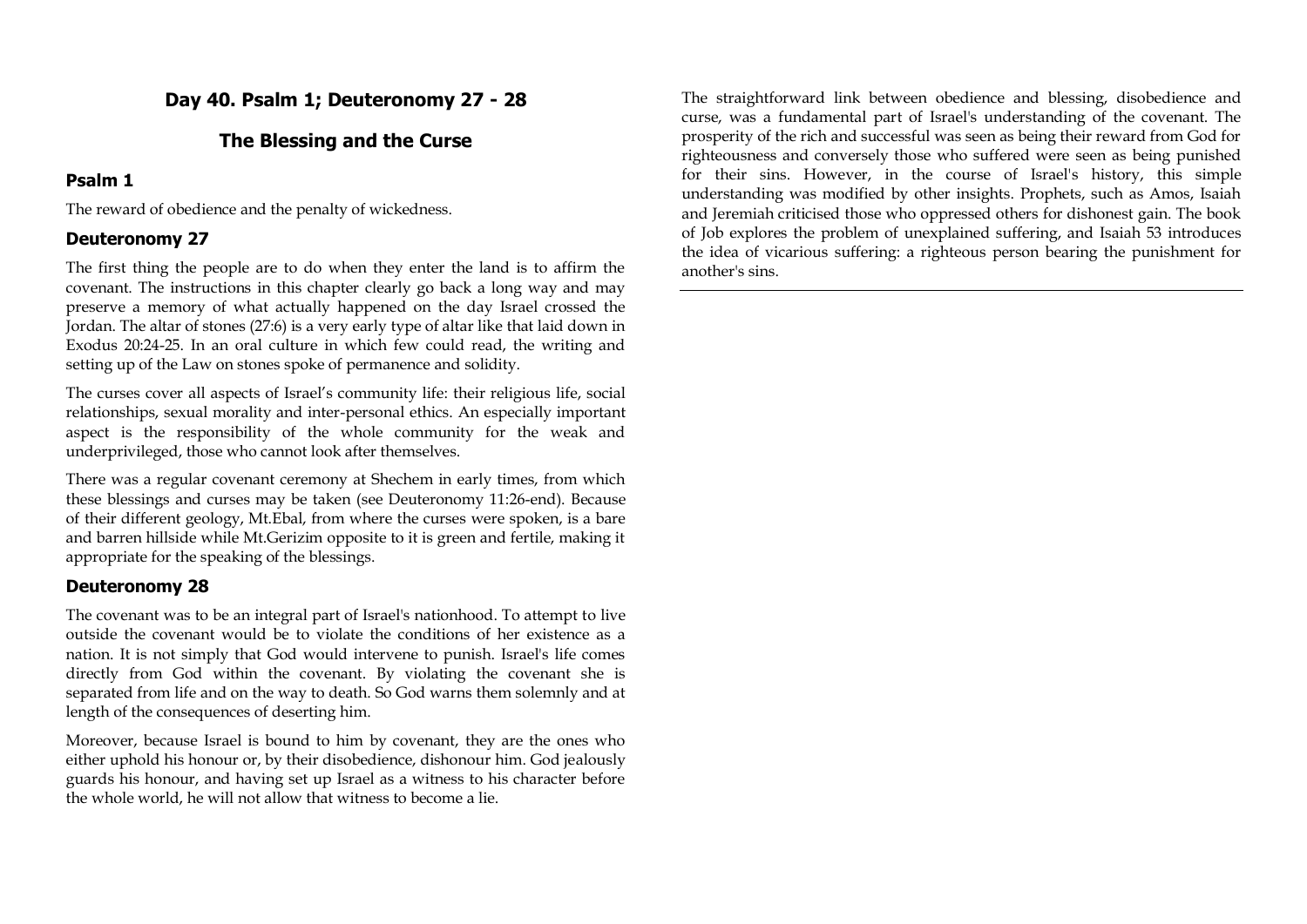# **Day 40. Psalm 1; Deuteronomy 27 - 28**

# **The Blessing and the Curse**

### **Psalm 1**

The reward of obedience and the penalty of wickedness.

## **Deuteronomy 27**

The first thing the people are to do when they enter the land is to affirm the covenant. The instructions in this chapter clearly go back a long way and may preserve a memory of what actually happened on the day Israel crossed the Jordan. The altar of stones (27:6) is a very early type of altar like that laid down in Exodus 20:24-25. In an oral culture in which few could read, the writing and setting up of the Law on stones spoke of permanence and solidity.

The curses cover all aspects of Israel's community life: their religious life, social relationships, sexual morality and inter-personal ethics. An especially important aspect is the responsibility of the whole community for the weak and underprivileged, those who cannot look after themselves.

There was a regular covenant ceremony at Shechem in early times, from which these blessings and curses may be taken (see Deuteronomy 11:26-end). Because of their different geology, Mt.Ebal, from where the curses were spoken, is a bare and barren hillside while Mt.Gerizim opposite to it is green and fertile, making it appropriate for the speaking of the blessings.

## **Deuteronomy 28**

The covenant was to be an integral part of Israel's nationhood. To attempt to live outside the covenant would be to violate the conditions of her existence as a nation. It is not simply that God would intervene to punish. Israel's life comes directly from God within the covenant. By violating the covenant she is separated from life and on the way to death. So God warns them solemnly and at length of the consequences of deserting him.

Moreover, because Israel is bound to him by covenant, they are the ones who either uphold his honour or, by their disobedience, dishonour him. God jealously guards his honour, and having set up Israel as a witness to his character before the whole world, he will not allow that witness to become a lie.

The straightforward link between obedience and blessing, disobedience and curse, was a fundamental part of Israel's understanding of the covenant. The prosperity of the rich and successful was seen as being their reward from God for righteousness and conversely those who suffered were seen as being punished for their sins. However, in the course of Israel's history, this simple understanding was modified by other insights. Prophets, such as Amos, Isaiah and Jeremiah criticised those who oppressed others for dishonest gain. The book of Job explores the problem of unexplained suffering, and Isaiah 53 introduces the idea of vicarious suffering: a righteous person bearing the punishment for another's sins.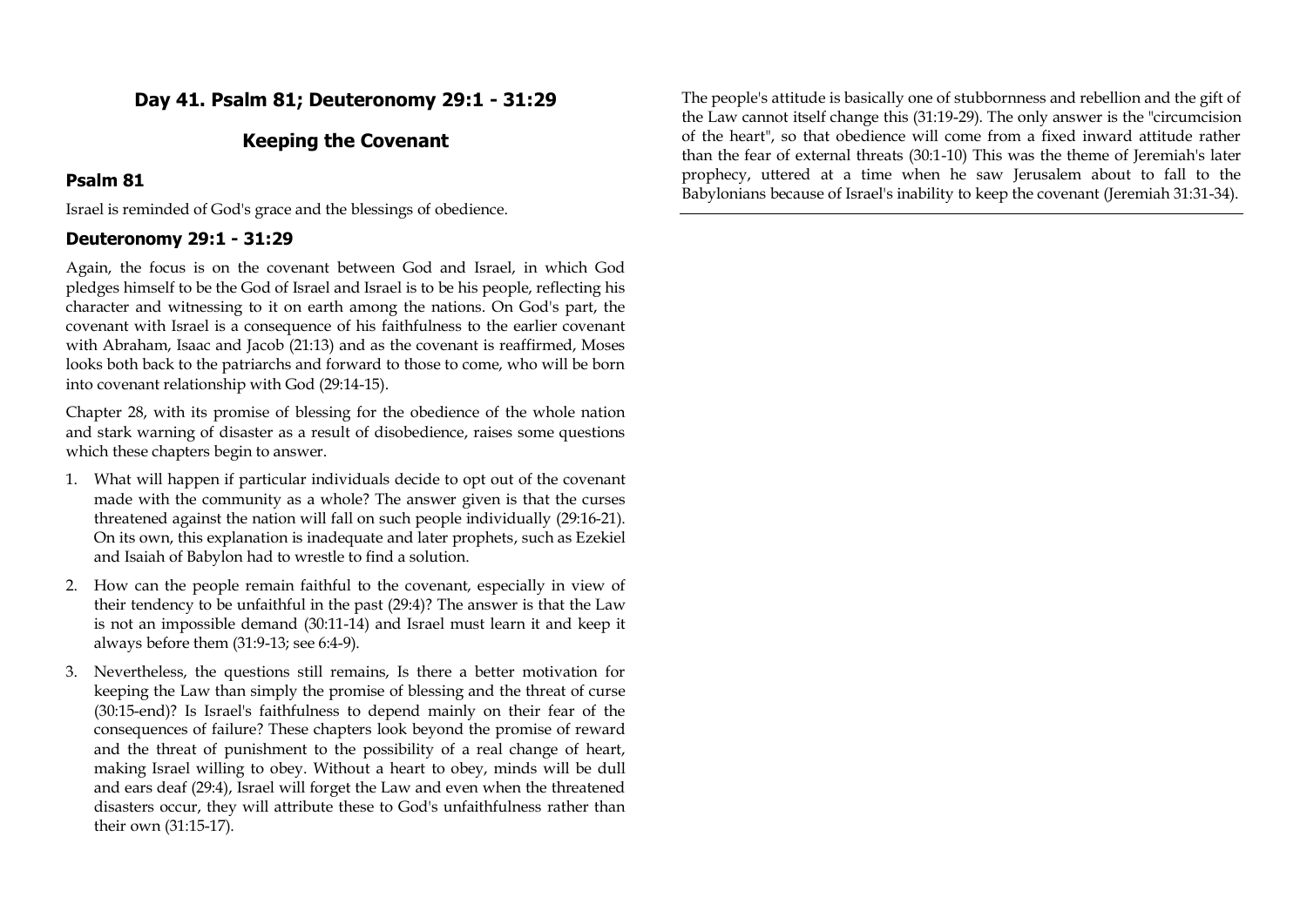**Day 41. Psalm 81; Deuteronomy 29:1 - 31:29**

## **Keeping the Covenant**

#### **Psalm 81**

Israel is reminded of God's grace and the blessings of obedience.

#### **Deuteronomy 29:1 - 31:29**

Again, the focus is on the covenant between God and Israel, in which God pledges himself to be the God of Israel and Israel is to be his people, reflecting his character and witnessing to it on earth among the nations. On God's part, the covenant with Israel is a consequence of his faithfulness to the earlier covenant with Abraham, Isaac and Jacob (21:13) and as the covenant is reaffirmed, Moses looks both back to the patriarchs and forward to those to come, who will be born into covenant relationship with God (29:14-15).

Chapter 28, with its promise of blessing for the obedience of the whole nation and stark warning of disaster as a result of disobedience, raises some questions which these chapters begin to answer.

- 1. What will happen if particular individuals decide to opt out of the covenant made with the community as a whole? The answer given is that the curses threatened against the nation will fall on such people individually (29:16-21). On its own, this explanation is inadequate and later prophets, such as Ezekiel and Isaiah of Babylon had to wrestle to find a solution.
- 2. How can the people remain faithful to the covenant, especially in view of their tendency to be unfaithful in the past (29:4)? The answer is that the Law is not an impossible demand (30:11-14) and Israel must learn it and keep it always before them (31:9-13; see 6:4-9).
- 3. Nevertheless, the questions still remains, Is there a better motivation for keeping the Law than simply the promise of blessing and the threat of curse (30:15-end)? Is Israel's faithfulness to depend mainly on their fear of the consequences of failure? These chapters look beyond the promise of reward and the threat of punishment to the possibility of a real change of heart, making Israel willing to obey. Without a heart to obey, minds will be dull and ears deaf (29:4), Israel will forget the Law and even when the threatened disasters occur, they will attribute these to God's unfaithfulness rather than their own (31:15-17).

The people's attitude is basically one of stubbornness and rebellion and the gift of the Law cannot itself change this (31:19-29). The only answer is the "circumcision of the heart", so that obedience will come from a fixed inward attitude rather than the fear of external threats (30:1-10) This was the theme of Jeremiah's later prophecy, uttered at a time when he saw Jerusalem about to fall to the Babylonians because of Israel's inability to keep the covenant (Jeremiah 31:31-34).